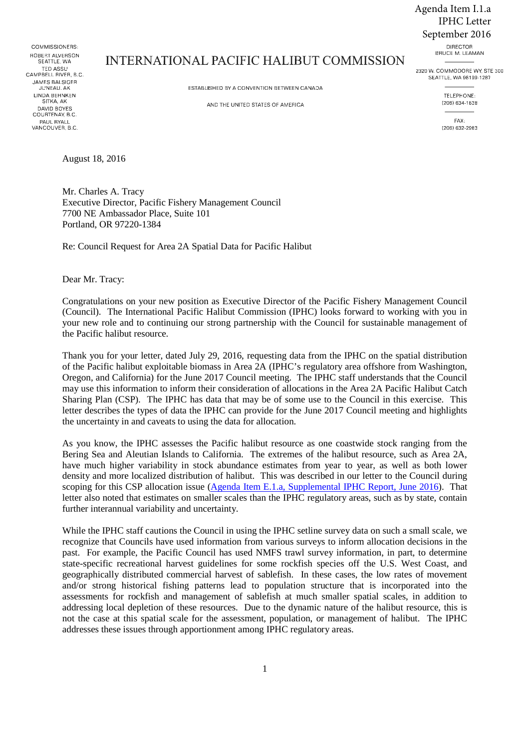Agenda Item I.1.a IPHC Letter September 2016

COMMISSIONERS: ROBERT ALVERSON SEATTLE WA **TED ASSU** CAMPBELL RIVER, B.C. **JAMES BALSIGER** JUNEAU, AK **LINDA BEHNKEN** SITKA, AK DAVID BOYES COURTENAY, B.C. PAUL RYALL<br>VANCOUVER, B.C.

## **INTERNATIONAL PACIFIC HALIBUT COMMISSION**

ESTABLISHED BY A CONVENTION BETWEEN CANADA

AND THE UNITED STATES OF AMERICA

BRUCE M. LEAMAN 2320 W. COMMODORE WY, STE 300 SEATTLE, WA 98199-1287

**DIRECTOR** 

TELEPHONE: (206) 634-1838

 $E\Delta X$ (206) 632-2983

August 18, 2016

Mr. Charles A. Tracy Executive Director, Pacific Fishery Management Council 7700 NE Ambassador Place, Suite 101 Portland, OR 97220-1384

Re: Council Request for Area 2A Spatial Data for Pacific Halibut

Dear Mr. Tracy:

Congratulations on your new position as Executive Director of the Pacific Fishery Management Council (Council). The International Pacific Halibut Commission (IPHC) looks forward to working with you in your new role and to continuing our strong partnership with the Council for sustainable management of the Pacific halibut resource.

Thank you for your letter, dated July 29, 2016, requesting data from the IPHC on the spatial distribution of the Pacific halibut exploitable biomass in Area 2A (IPHC's regulatory area offshore from Washington, Oregon, and California) for the June 2017 Council meeting. The IPHC staff understands that the Council may use this information to inform their consideration of allocations in the Area 2A Pacific Halibut Catch Sharing Plan (CSP). The IPHC has data that may be of some use to the Council in this exercise. This letter describes the types of data the IPHC can provide for the June 2017 Council meeting and highlights the uncertainty in and caveats to using the data for allocation.

As you know, the IPHC assesses the Pacific halibut resource as one coastwide stock ranging from the Bering Sea and Aleutian Islands to California. The extremes of the halibut resource, such as Area 2A, have much higher variability in stock abundance estimates from year to year, as well as both lower density and more localized distribution of halibut. This was described in our letter to the Council during scoping for this CSP allocation issue (Agenda Item E.1.a, Supplemental IPHC Report, June 2016). That letter also noted that estimates on smaller scales than the IPHC regulatory areas, such as by state, contain further interannual variability and uncertainty.

While the IPHC staff cautions the Council in using the IPHC setline survey data on such a small scale, we recognize that Councils have used information from various surveys to inform allocation decisions in the past. For example, the Pacific Council has used NMFS trawl survey information, in part, to determine state-specific recreational harvest guidelines for some rockfish species off the U.S. West Coast, and geographically distributed commercial harvest of sablefish. In these cases, the low rates of movement and/or strong historical fishing patterns lead to population structure that is incorporated into the assessments for rockfish and management of sablefish at much smaller spatial scales, in addition to addressing local depletion of these resources. Due to the dynamic nature of the halibut resource, this is not the case at this spatial scale for the assessment, population, or management of halibut. The IPHC addresses these issues through apportionment among IPHC regulatory areas.